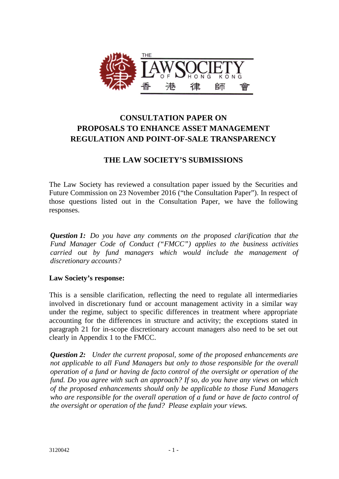

# **CONSULTATION PAPER ON PROPOSALS TO ENHANCE ASSET MANAGEMENT REGULATION AND POINT-OF-SALE TRANSPARENCY**

## **THE LAW SOCIETY'S SUBMISSIONS**

The Law Society has reviewed a consultation paper issued by the Securities and Future Commission on 23 November 2016 ("the Consultation Paper"). In respect of those questions listed out in the Consultation Paper, we have the following responses.

*Question 1: Do you have any comments on the proposed clarification that the Fund Manager Code of Conduct ("FMCC") applies to the business activities carried out by fund managers which would include the management of discretionary accounts?*

### **Law Society's response:**

This is a sensible clarification, reflecting the need to regulate all intermediaries involved in discretionary fund or account management activity in a similar way under the regime, subject to specific differences in treatment where appropriate accounting for the differences in structure and activity; the exceptions stated in paragraph 21 for in-scope discretionary account managers also need to be set out clearly in Appendix 1 to the FMCC.

*Question 2: Under the current proposal, some of the proposed enhancements are not applicable to all Fund Managers but only to those responsible for the overall operation of a fund or having de facto control of the oversight or operation of the fund. Do you agree with such an approach? If so, do you have any views on which of the proposed enhancements should only be applicable to those Fund Managers who are responsible for the overall operation of a fund or have de facto control of the oversight or operation of the fund? Please explain your views.*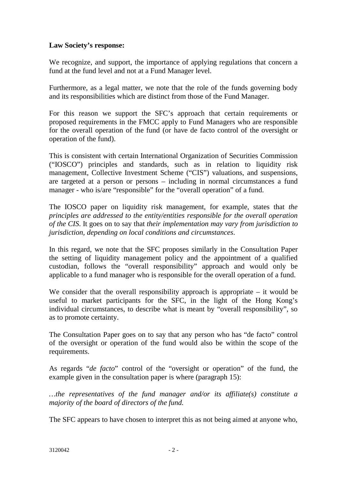We recognize, and support, the importance of applying regulations that concern a fund at the fund level and not at a Fund Manager level.

Furthermore, as a legal matter, we note that the role of the funds governing body and its responsibilities which are distinct from those of the Fund Manager.

For this reason we support the SFC's approach that certain requirements or proposed requirements in the FMCC apply to Fund Managers who are responsible for the overall operation of the fund (or have de facto control of the oversight or operation of the fund).

This is consistent with certain International Organization of Securities Commission ("IOSCO") principles and standards, such as in relation to liquidity risk management, Collective Investment Scheme ("CIS") valuations, and suspensions, are targeted at a person or persons – including in normal circumstances a fund manager - who is/are "responsible" for the "overall operation" of a fund.

The IOSCO paper on liquidity risk management, for example, states that *the principles are addressed to the entity/entities responsible for the overall operation of the CIS*. It goes on to say that *their implementation may vary from jurisdiction to jurisdiction, depending on local conditions and circumstances*.

In this regard, we note that the SFC proposes similarly in the Consultation Paper the setting of liquidity management policy and the appointment of a qualified custodian, follows the "overall responsibility" approach and would only be applicable to a fund manager who is responsible for the overall operation of a fund.

We consider that the overall responsibility approach is appropriate – it would be useful to market participants for the SFC, in the light of the Hong Kong's individual circumstances, to describe what is meant by "overall responsibility", so as to promote certainty.

The Consultation Paper goes on to say that any person who has "de facto" control of the oversight or operation of the fund would also be within the scope of the requirements.

As regards "*de facto*" control of the "oversight or operation" of the fund, the example given in the consultation paper is where (paragraph 15):

*…the representatives of the fund manager and/or its affiliate(s) constitute a majority of the board of directors of the fund.* 

The SFC appears to have chosen to interpret this as not being aimed at anyone who,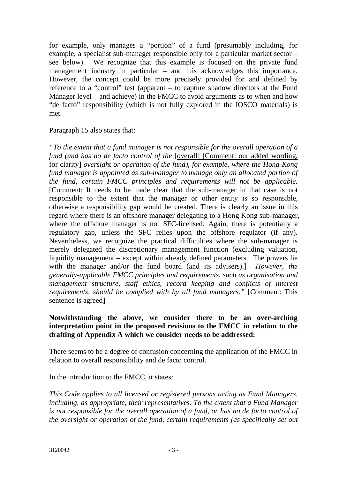for example, only manages a "portion" of a fund (presumably including, for example, a specialist sub-manager responsible only for a particular market sector – see below). We recognize that this example is focused on the private fund management industry in particular – and this acknowledges this importance. However, the concept could be more precisely provided for and defined by reference to a "control" test (apparent – to capture shadow directors at the Fund Manager level – and achieve) in the FMCC to avoid arguments as to when and how "de facto" responsibility (which is not fully explored in the IOSCO materials) is met.

### Paragraph 15 also states that:

*"To the extent that a fund manager is not responsible for the overall operation of a fund (and has no de facto control of the [overall] [Comment: our added wording,* for clarity] *oversight or operation of the fund), for example, where the Hong Kong fund manager is appointed as sub-manager to manage only an allocated portion of the fund, certain FMCC principles and requirements will not be applicable.*  [Comment: It needs to be made clear that the sub-manager in that case is not responsible to the extent that the manager or other entity is so responsible, otherwise a responsibility gap would be created. There is clearly an issue in this regard where there is an offshore manager delegating to a Hong Kong sub-manager, where the offshore manager is not SFC-licensed. Again, there is potentially a regulatory gap, unless the SFC relies upon the offshore regulator (if any). Nevertheless, we recognize the practical difficulties where the sub-manager is merely delegated the discretionary management function (excluding valuation, liquidity management – except within already defined parameters. The powers lie with the manager and/or the fund board (and its advisers).] *However, the generally-applicable FMCC principles and requirements, such as organisation and management structure, staff ethics, record keeping and conflicts of interest requirements, should be complied with by all fund managers."* [Comment: This sentence is agreed]

#### **Notwithstanding the above, we consider there to be an over-arching interpretation point in the proposed revisions to the FMCC in relation to the drafting of Appendix A which we consider needs to be addressed:**

There seems to be a degree of confusion concerning the application of the FMCC in relation to overall responsibility and de facto control.

In the introduction to the FMCC, it states:

*This Code applies to all licensed or registered persons acting as Fund Managers, including, as appropriate, their representatives. To the extent that a Fund Manager is not responsible for the overall operation of a fund, or has no de facto control of the oversight or operation of the fund, certain requirements (as specifically set out*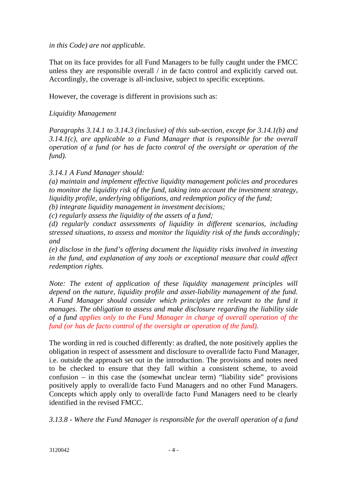#### *in this Code) are not applicable.*

That on its face provides for all Fund Managers to be fully caught under the FMCC unless they are responsible overall / in de facto control and explicitly carved out. Accordingly, the coverage is all-inclusive, subject to specific exceptions.

However, the coverage is different in provisions such as:

### *Liquidity Management*

*Paragraphs 3.14.1 to 3.14.3 (inclusive) of this sub-section, except for 3.14.1(b) and 3.14.1(c), are applicable to a Fund Manager that is responsible for the overall operation of a fund (or has de facto control of the oversight or operation of the fund).*

### *3.14.1 A Fund Manager should:*

*(a) maintain and implement effective liquidity management policies and procedures to monitor the liquidity risk of the fund, taking into account the investment strategy, liquidity profile, underlying obligations, and redemption policy of the fund;*

*(b) integrate liquidity management in investment decisions;*

*(c) regularly assess the liquidity of the assets of a fund;*

*(d) regularly conduct assessments of liquidity in different scenarios, including stressed situations, to assess and monitor the liquidity risk of the funds accordingly; and*

*(e) disclose in the fund's offering document the liquidity risks involved in investing in the fund, and explanation of any tools or exceptional measure that could affect redemption rights.*

*Note: The extent of application of these liquidity management principles will depend on the nature, liquidity profile and asset-liability management of the fund. A Fund Manager should consider which principles are relevant to the fund it manages. The obligation to assess and make disclosure regarding the liability side of a fund applies only to the Fund Manager in charge of overall operation of the fund (or has de facto control of the oversight or operation of the fund).*

The wording in red is couched differently: as drafted, the note positively applies the obligation in respect of assessment and disclosure to overall/de facto Fund Manager, i.e. outside the approach set out in the introduction. The provisions and notes need to be checked to ensure that they fall within a consistent scheme, to avoid confusion – in this case the (somewhat unclear term) "liability side" provisions positively apply to overall/de facto Fund Managers and no other Fund Managers. Concepts which apply only to overall/de facto Fund Managers need to be clearly identified in the revised FMCC.

*3.13.8 - Where the Fund Manager is responsible for the overall operation of a fund*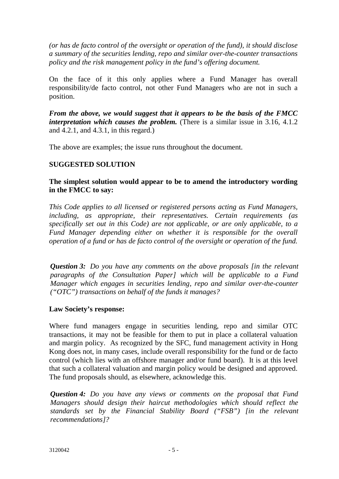*(or has de facto control of the oversight or operation of the fund), it should disclose a summary of the securities lending, repo and similar over-the-counter transactions policy and the risk management policy in the fund's offering document.* 

On the face of it this only applies where a Fund Manager has overall responsibility/de facto control, not other Fund Managers who are not in such a position.

*From the above, we would suggest that it appears to be the basis of the FMCC interpretation which causes the problem.* (There is a similar issue in 3.16, 4.1.2) and 4.2.1, and 4.3.1, in this regard.)

The above are examples; the issue runs throughout the document.

### **SUGGESTED SOLUTION**

### **The simplest solution would appear to be to amend the introductory wording in the FMCC to say:**

*This Code applies to all licensed or registered persons acting as Fund Managers, including, as appropriate, their representatives. Certain requirements (as specifically set out in this Code) are not applicable, or are only applicable, to a Fund Manager depending either on whether it is responsible for the overall operation of a fund or has de facto control of the oversight or operation of the fund.*

*Question 3: Do you have any comments on the above proposals [in the relevant paragraphs of the Consultation Paper] which will be applicable to a Fund Manager which engages in securities lending, repo and similar over-the-counter ("OTC") transactions on behalf of the funds it manages?*

### **Law Society's response:**

Where fund managers engage in securities lending, repo and similar OTC transactions, it may not be feasible for them to put in place a collateral valuation and margin policy. As recognized by the SFC, fund management activity in Hong Kong does not, in many cases, include overall responsibility for the fund or de facto control (which lies with an offshore manager and/or fund board). It is at this level that such a collateral valuation and margin policy would be designed and approved. The fund proposals should, as elsewhere, acknowledge this.

*Question 4: Do you have any views or comments on the proposal that Fund Managers should design their haircut methodologies which should reflect the standards set by the Financial Stability Board ("FSB") [in the relevant recommendations]?*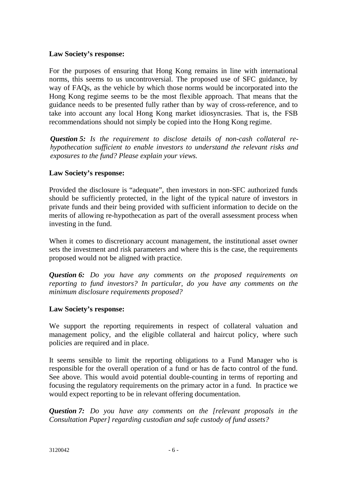For the purposes of ensuring that Hong Kong remains in line with international norms, this seems to us uncontroversial. The proposed use of SFC guidance, by way of FAQs, as the vehicle by which those norms would be incorporated into the Hong Kong regime seems to be the most flexible approach. That means that the guidance needs to be presented fully rather than by way of cross-reference, and to take into account any local Hong Kong market idiosyncrasies. That is, the FSB recommendations should not simply be copied into the Hong Kong regime.

*Question 5: Is the requirement to disclose details of non-cash collateral rehypothecation sufficient to enable investors to understand the relevant risks and exposures to the fund? Please explain your views.*

#### **Law Society's response:**

Provided the disclosure is "adequate", then investors in non-SFC authorized funds should be sufficiently protected, in the light of the typical nature of investors in private funds and their being provided with sufficient information to decide on the merits of allowing re-hypothecation as part of the overall assessment process when investing in the fund.

When it comes to discretionary account management, the institutional asset owner sets the investment and risk parameters and where this is the case, the requirements proposed would not be aligned with practice.

*Question 6: Do you have any comments on the proposed requirements on reporting to fund investors? In particular, do you have any comments on the minimum disclosure requirements proposed?*

#### **Law Society's response:**

We support the reporting requirements in respect of collateral valuation and management policy, and the eligible collateral and haircut policy, where such policies are required and in place.

It seems sensible to limit the reporting obligations to a Fund Manager who is responsible for the overall operation of a fund or has de facto control of the fund. See above. This would avoid potential double-counting in terms of reporting and focusing the regulatory requirements on the primary actor in a fund. In practice we would expect reporting to be in relevant offering documentation.

*Question 7: Do you have any comments on the [relevant proposals in the Consultation Paper] regarding custodian and safe custody of fund assets?*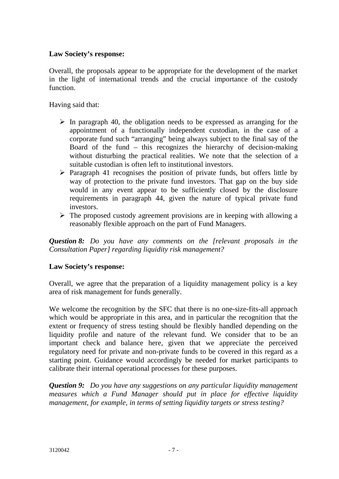Overall, the proposals appear to be appropriate for the development of the market in the light of international trends and the crucial importance of the custody function.

Having said that:

- $\triangleright$  In paragraph 40, the obligation needs to be expressed as arranging for the appointment of a functionally independent custodian, in the case of a corporate fund such "arranging" being always subject to the final say of the Board of the fund – this recognizes the hierarchy of decision-making without disturbing the practical realities. We note that the selection of a suitable custodian is often left to institutional investors.
- $\triangleright$  Paragraph 41 recognises the position of private funds, but offers little by way of protection to the private fund investors. That gap on the buy side would in any event appear to be sufficiently closed by the disclosure requirements in paragraph 44, given the nature of typical private fund investors.
- $\triangleright$  The proposed custody agreement provisions are in keeping with allowing a reasonably flexible approach on the part of Fund Managers.

*Question 8: Do you have any comments on the [relevant proposals in the Consultation Paper] regarding liquidity risk management?*

### **Law Society's response:**

Overall, we agree that the preparation of a liquidity management policy is a key area of risk management for funds generally.

We welcome the recognition by the SFC that there is no one-size-fits-all approach which would be appropriate in this area, and in particular the recognition that the extent or frequency of stress testing should be flexibly handled depending on the liquidity profile and nature of the relevant fund. We consider that to be an important check and balance here, given that we appreciate the perceived regulatory need for private and non-private funds to be covered in this regard as a starting point. Guidance would accordingly be needed for market participants to calibrate their internal operational processes for these purposes.

*Question 9: Do you have any suggestions on any particular liquidity management measures which a Fund Manager should put in place for effective liquidity management, for example, in terms of setting liquidity targets or stress testing?*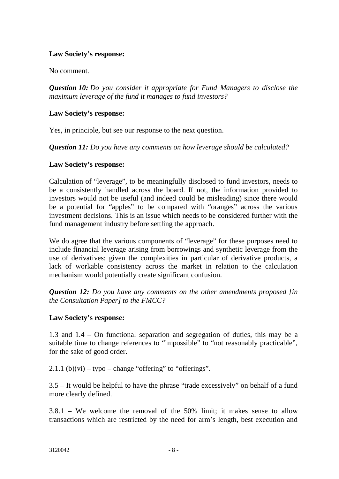No comment.

*Question 10: Do you consider it appropriate for Fund Managers to disclose the maximum leverage of the fund it manages to fund investors?* 

### **Law Society's response:**

Yes, in principle, but see our response to the next question.

*Question 11: Do you have any comments on how leverage should be calculated?*

### **Law Society's response:**

Calculation of "leverage", to be meaningfully disclosed to fund investors, needs to be a consistently handled across the board. If not, the information provided to investors would not be useful (and indeed could be misleading) since there would be a potential for "apples" to be compared with "oranges" across the various investment decisions. This is an issue which needs to be considered further with the fund management industry before settling the approach.

We do agree that the various components of "leverage" for these purposes need to include financial leverage arising from borrowings and synthetic leverage from the use of derivatives: given the complexities in particular of derivative products, a lack of workable consistency across the market in relation to the calculation mechanism would potentially create significant confusion.

*Question 12: Do you have any comments on the other amendments proposed [in the Consultation Paper] to the FMCC?*

### **Law Society's response:**

1.3 and 1.4 – On functional separation and segregation of duties, this may be a suitable time to change references to "impossible" to "not reasonably practicable", for the sake of good order.

2.1.1 (b)(vi) – typo – change "offering" to "offerings".

3.5 – It would be helpful to have the phrase "trade excessively" on behalf of a fund more clearly defined.

3.8.1 – We welcome the removal of the 50% limit; it makes sense to allow transactions which are restricted by the need for arm's length, best execution and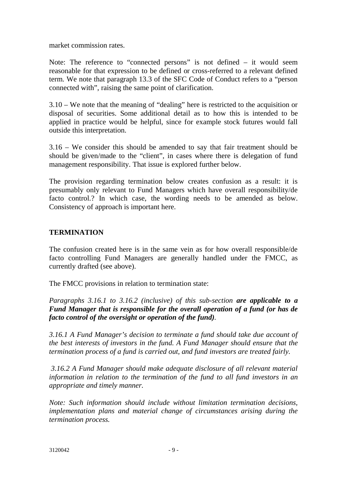market commission rates.

Note: The reference to "connected persons" is not defined – it would seem reasonable for that expression to be defined or cross-referred to a relevant defined term. We note that paragraph 13.3 of the SFC Code of Conduct refers to a "person connected with", raising the same point of clarification.

3.10 – We note that the meaning of "dealing" here is restricted to the acquisition or disposal of securities. Some additional detail as to how this is intended to be applied in practice would be helpful, since for example stock futures would fall outside this interpretation.

3.16 – We consider this should be amended to say that fair treatment should be should be given/made to the "client", in cases where there is delegation of fund management responsibility. That issue is explored further below.

The provision regarding termination below creates confusion as a result: it is presumably only relevant to Fund Managers which have overall responsibility/de facto control.? In which case, the wording needs to be amended as below. Consistency of approach is important here.

### **TERMINATION**

The confusion created here is in the same vein as for how overall responsible/de facto controlling Fund Managers are generally handled under the FMCC, as currently drafted (see above).

The FMCC provisions in relation to termination state:

*Paragraphs 3.16.1 to 3.16.2 (inclusive) of this sub-section are applicable to a Fund Manager that is responsible for the overall operation of a fund (or has de facto control of the oversight or operation of the fund).*

*3.16.1 A Fund Manager's decision to terminate a fund should take due account of the best interests of investors in the fund. A Fund Manager should ensure that the termination process of a fund is carried out, and fund investors are treated fairly.*

*3.16.2 A Fund Manager should make adequate disclosure of all relevant material information in relation to the termination of the fund to all fund investors in an appropriate and timely manner.*

*Note: Such information should include without limitation termination decisions, implementation plans and material change of circumstances arising during the termination process.*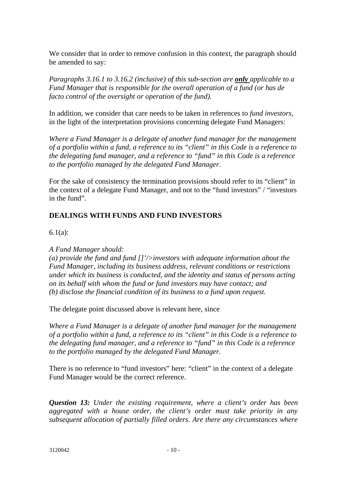We consider that in order to remove confusion in this context, the paragraph should be amended to say:

*Paragraphs 3.16.1 to 3.16.2 (inclusive) of this sub-section are only applicable to a Fund Manager that is responsible for the overall operation of a fund (or has de facto control of the oversight or operation of the fund).*

In addition, we consider that care needs to be taken in references to *fund investors*, in the light of the interpretation provisions concerning delegate Fund Managers:

*Where a Fund Manager is a delegate of another fund manager for the management of a portfolio within a fund, a reference to its "client" in this Code is a reference to the delegating fund manager, and a reference to "fund" in this Code is a reference to the portfolio managed by the delegated Fund Manager.* 

For the sake of consistency the termination provisions should refer to its "client" in the context of a delegate Fund Manager, and not to the "fund investors" / "investors in the fund".

## **DEALINGS WITH FUNDS AND FUND INVESTORS**

6.1(a):

*A Fund Manager should:*

*(a) provide the fund and fund []'/>investors with adequate information about the Fund Manager, including its business address, relevant conditions or restrictions under which its business is conducted, and the identity and status of persons acting on its behalf with whom the fund or fund investors may have contact; and (b) disclose the financial condition of its business to a fund upon request.*

The delegate point discussed above is relevant here, since

*Where a Fund Manager is a delegate of another fund manager for the management of a portfolio within a fund, a reference to its "client" in this Code is a reference to the delegating fund manager, and a reference to "fund" in this Code is a reference to the portfolio managed by the delegated Fund Manager.*

There is no reference to "fund investors" here: "client" in the context of a delegate Fund Manager would be the correct reference.

*Question 13: Under the existing requirement, where a client's order has been aggregated with a house order, the client's order must take priority in any subsequent allocation of partially filled orders. Are there any circumstances where*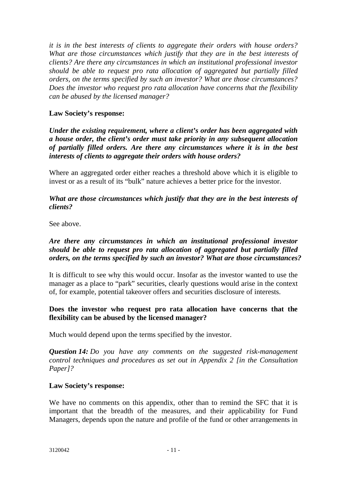*it is in the best interests of clients to aggregate their orders with house orders? What are those circumstances which justify that they are in the best interests of clients? Are there any circumstances in which an institutional professional investor should be able to request pro rata allocation of aggregated but partially filled orders, on the terms specified by such an investor? What are those circumstances? Does the investor who request pro rata allocation have concerns that the flexibility can be abused by the licensed manager?*

### **Law Society's response:**

*Under the existing requirement, where a client's order has been aggregated with a house order, the client's order must take priority in any subsequent allocation of partially filled orders. Are there any circumstances where it is in the best interests of clients to aggregate their orders with house orders?* 

Where an aggregated order either reaches a threshold above which it is eligible to invest or as a result of its "bulk" nature achieves a better price for the investor.

*What are those circumstances which justify that they are in the best interests of clients?* 

See above.

### *Are there any circumstances in which an institutional professional investor should be able to request pro rata allocation of aggregated but partially filled orders, on the terms specified by such an investor? What are those circumstances?*

It is difficult to see why this would occur. Insofar as the investor wanted to use the manager as a place to "park" securities, clearly questions would arise in the context of, for example, potential takeover offers and securities disclosure of interests.

### **Does the investor who request pro rata allocation have concerns that the flexibility can be abused by the licensed manager?**

Much would depend upon the terms specified by the investor.

*Question 14: Do you have any comments on the suggested risk-management control techniques and procedures as set out in Appendix 2 [in the Consultation Paper]?*

### **Law Society's response:**

We have no comments on this appendix, other than to remind the SFC that it is important that the breadth of the measures, and their applicability for Fund Managers, depends upon the nature and profile of the fund or other arrangements in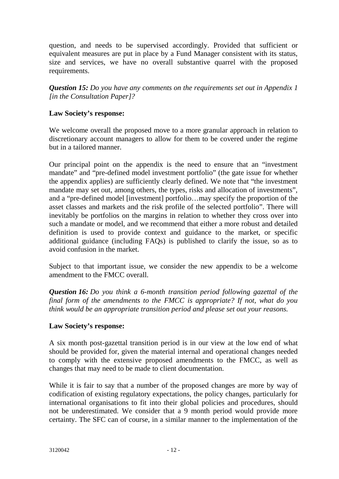question, and needs to be supervised accordingly. Provided that sufficient or equivalent measures are put in place by a Fund Manager consistent with its status, size and services, we have no overall substantive quarrel with the proposed requirements.

*Question 15: Do you have any comments on the requirements set out in Appendix 1 [in the Consultation Paper]?*

### **Law Society's response:**

We welcome overall the proposed move to a more granular approach in relation to discretionary account managers to allow for them to be covered under the regime but in a tailored manner.

Our principal point on the appendix is the need to ensure that an "investment mandate" and "pre-defined model investment portfolio" (the gate issue for whether the appendix applies) are sufficiently clearly defined. We note that "the investment mandate may set out, among others, the types, risks and allocation of investments", and a "pre-defined model [investment] portfolio…may specify the proportion of the asset classes and markets and the risk profile of the selected portfolio". There will inevitably be portfolios on the margins in relation to whether they cross over into such a mandate or model, and we recommend that either a more robust and detailed definition is used to provide context and guidance to the market, or specific additional guidance (including FAQs) is published to clarify the issue, so as to avoid confusion in the market.

Subject to that important issue, we consider the new appendix to be a welcome amendment to the FMCC overall.

*Question 16: Do you think a 6-month transition period following gazettal of the final form of the amendments to the FMCC is appropriate? If not, what do you think would be an appropriate transition period and please set out your reasons.*

### **Law Society's response:**

A six month post-gazettal transition period is in our view at the low end of what should be provided for, given the material internal and operational changes needed to comply with the extensive proposed amendments to the FMCC, as well as changes that may need to be made to client documentation.

While it is fair to say that a number of the proposed changes are more by way of codification of existing regulatory expectations, the policy changes, particularly for international organisations to fit into their global policies and procedures, should not be underestimated. We consider that a 9 month period would provide more certainty. The SFC can of course, in a similar manner to the implementation of the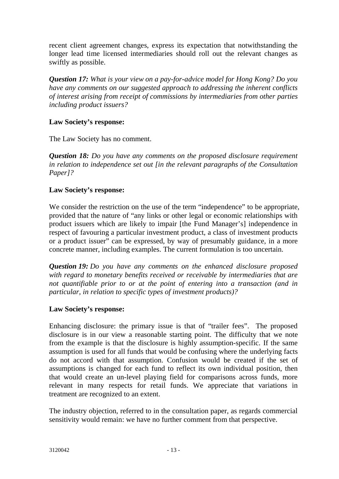recent client agreement changes, express its expectation that notwithstanding the longer lead time licensed intermediaries should roll out the relevant changes as swiftly as possible.

*Question 17: What is your view on a pay-for-advice model for Hong Kong? Do you have any comments on our suggested approach to addressing the inherent conflicts of interest arising from receipt of commissions by intermediaries from other parties including product issuers?*

### **Law Society's response:**

The Law Society has no comment.

*Question 18: Do you have any comments on the proposed disclosure requirement in relation to independence set out [in the relevant paragraphs of the Consultation Paper]?*

### **Law Society's response:**

We consider the restriction on the use of the term "independence" to be appropriate, provided that the nature of "any links or other legal or economic relationships with product issuers which are likely to impair [the Fund Manager's] independence in respect of favouring a particular investment product, a class of investment products or a product issuer" can be expressed, by way of presumably guidance, in a more concrete manner, including examples. The current formulation is too uncertain.

*Question 19: Do you have any comments on the enhanced disclosure proposed with regard to monetary benefits received or receivable by intermediaries that are not quantifiable prior to or at the point of entering into a transaction (and in particular, in relation to specific types of investment products)?* 

### **Law Society's response:**

Enhancing disclosure: the primary issue is that of "trailer fees". The proposed disclosure is in our view a reasonable starting point. The difficulty that we note from the example is that the disclosure is highly assumption-specific. If the same assumption is used for all funds that would be confusing where the underlying facts do not accord with that assumption. Confusion would be created if the set of assumptions is changed for each fund to reflect its own individual position, then that would create an un-level playing field for comparisons across funds, more relevant in many respects for retail funds. We appreciate that variations in treatment are recognized to an extent.

The industry objection, referred to in the consultation paper, as regards commercial sensitivity would remain: we have no further comment from that perspective.